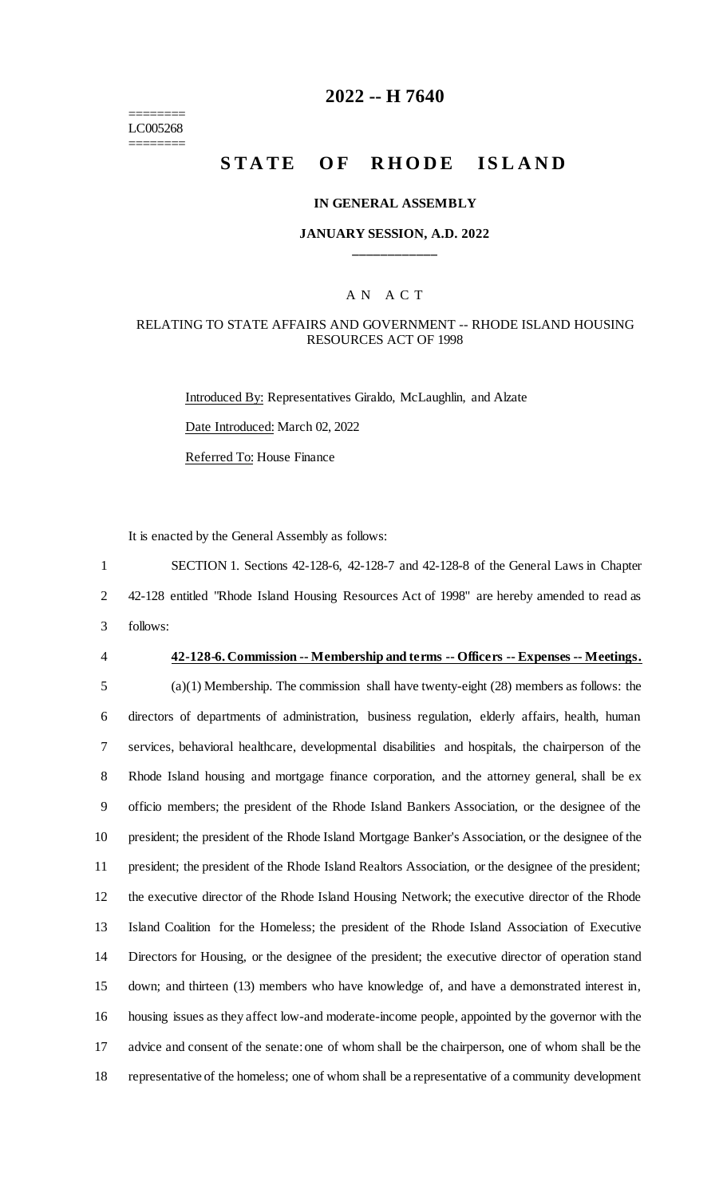======== LC005268 ========

# **2022 -- H 7640**

# **STATE OF RHODE ISLAND**

#### **IN GENERAL ASSEMBLY**

#### **JANUARY SESSION, A.D. 2022 \_\_\_\_\_\_\_\_\_\_\_\_**

#### A N A C T

### RELATING TO STATE AFFAIRS AND GOVERNMENT -- RHODE ISLAND HOUSING RESOURCES ACT OF 1998

Introduced By: Representatives Giraldo, McLaughlin, and Alzate Date Introduced: March 02, 2022 Referred To: House Finance

It is enacted by the General Assembly as follows:

1 SECTION 1. Sections 42-128-6, 42-128-7 and 42-128-8 of the General Laws in Chapter 2 42-128 entitled "Rhode Island Housing Resources Act of 1998" are hereby amended to read as 3 follows:

#### 4 **42-128-6. Commission -- Membership and terms -- Officers -- Expenses -- Meetings.**

 (a)(1) Membership. The commission shall have twenty-eight (28) members as follows: the directors of departments of administration, business regulation, elderly affairs, health, human services, behavioral healthcare, developmental disabilities and hospitals, the chairperson of the Rhode Island housing and mortgage finance corporation, and the attorney general, shall be ex officio members; the president of the Rhode Island Bankers Association, or the designee of the president; the president of the Rhode Island Mortgage Banker's Association, or the designee of the president; the president of the Rhode Island Realtors Association, or the designee of the president; the executive director of the Rhode Island Housing Network; the executive director of the Rhode Island Coalition for the Homeless; the president of the Rhode Island Association of Executive Directors for Housing, or the designee of the president; the executive director of operation stand down; and thirteen (13) members who have knowledge of, and have a demonstrated interest in, housing issues as they affect low-and moderate-income people, appointed by the governor with the advice and consent of the senate: one of whom shall be the chairperson, one of whom shall be the representative of the homeless; one of whom shall be a representative of a community development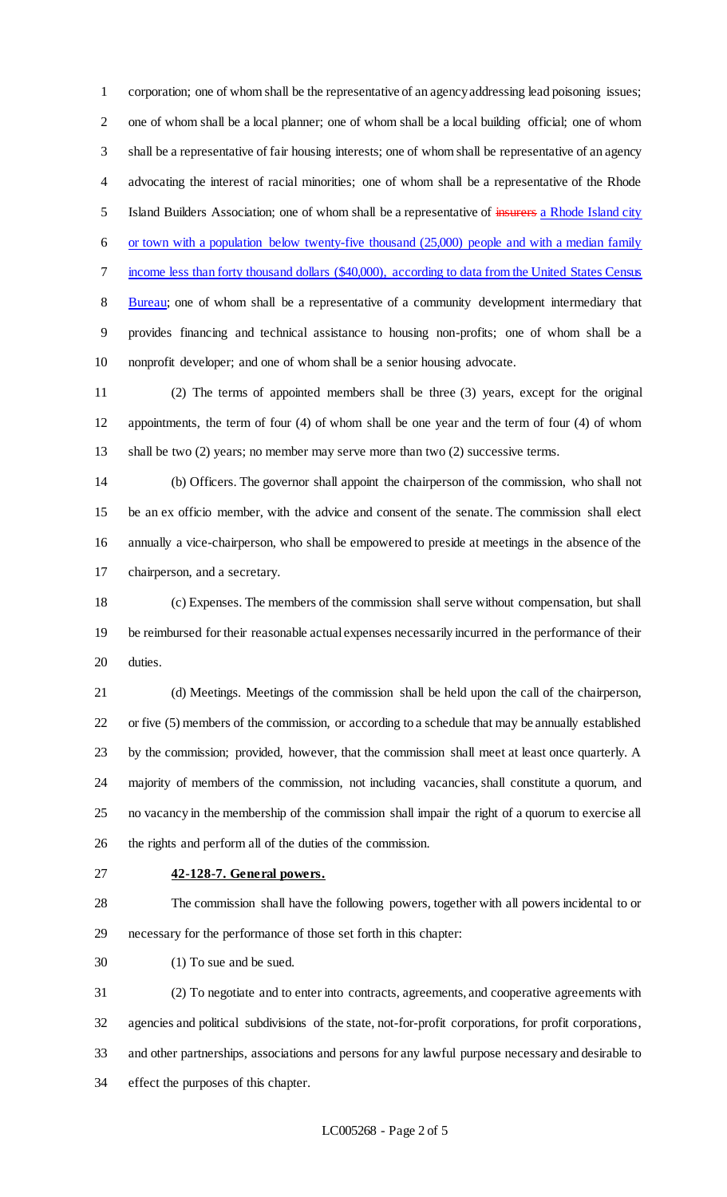corporation; one of whom shall be the representative of an agency addressing lead poisoning issues; one of whom shall be a local planner; one of whom shall be a local building official; one of whom shall be a representative of fair housing interests; one of whom shall be representative of an agency advocating the interest of racial minorities; one of whom shall be a representative of the Rhode 5 Island Builders Association; one of whom shall be a representative of insurers a Rhode Island city or town with a population below twenty-five thousand (25,000) people and with a median family income less than forty thousand dollars (\$40,000), according to data from the United States Census 8 Bureau; one of whom shall be a representative of a community development intermediary that provides financing and technical assistance to housing non-profits; one of whom shall be a nonprofit developer; and one of whom shall be a senior housing advocate.

 (2) The terms of appointed members shall be three (3) years, except for the original appointments, the term of four (4) of whom shall be one year and the term of four (4) of whom shall be two (2) years; no member may serve more than two (2) successive terms.

 (b) Officers. The governor shall appoint the chairperson of the commission, who shall not be an ex officio member, with the advice and consent of the senate. The commission shall elect annually a vice-chairperson, who shall be empowered to preside at meetings in the absence of the chairperson, and a secretary.

 (c) Expenses. The members of the commission shall serve without compensation, but shall be reimbursed for their reasonable actual expenses necessarily incurred in the performance of their duties.

 (d) Meetings. Meetings of the commission shall be held upon the call of the chairperson, or five (5) members of the commission, or according to a schedule that may be annually established by the commission; provided, however, that the commission shall meet at least once quarterly. A majority of members of the commission, not including vacancies, shall constitute a quorum, and no vacancy in the membership of the commission shall impair the right of a quorum to exercise all the rights and perform all of the duties of the commission.

#### **42-128-7. General powers.**

 The commission shall have the following powers, together with all powers incidental to or necessary for the performance of those set forth in this chapter:

(1) To sue and be sued.

 (2) To negotiate and to enter into contracts, agreements, and cooperative agreements with agencies and political subdivisions of the state, not-for-profit corporations, for profit corporations, and other partnerships, associations and persons for any lawful purpose necessary and desirable to effect the purposes of this chapter.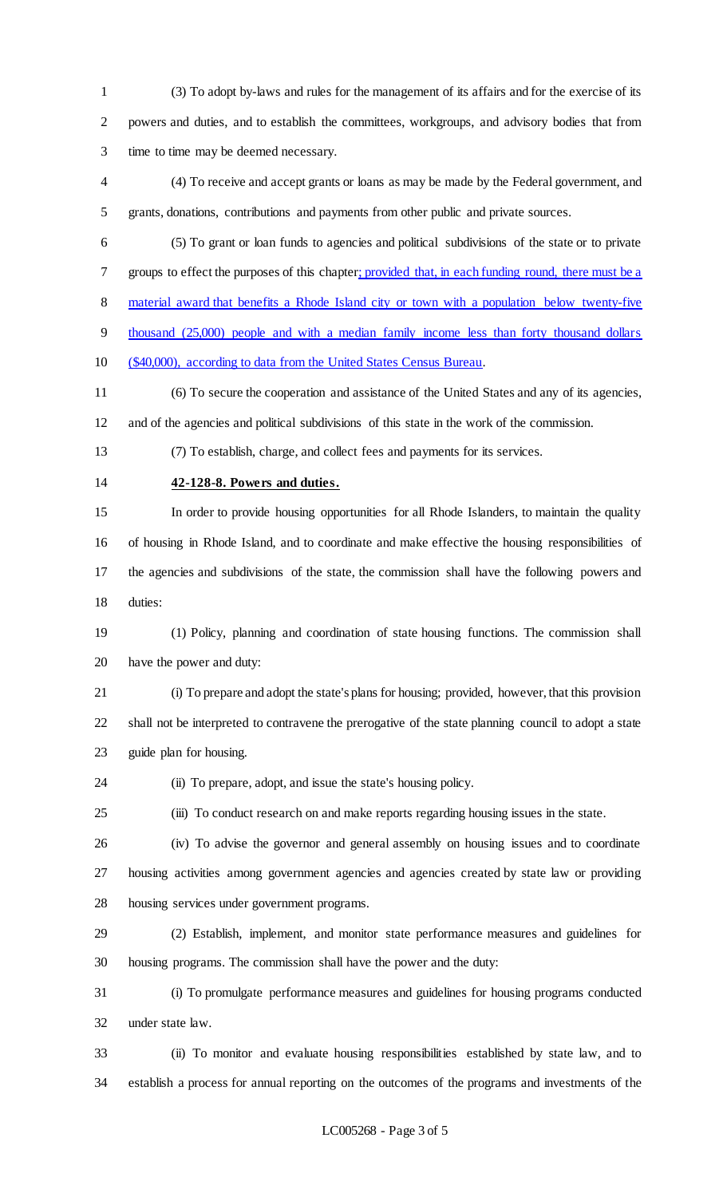(3) To adopt by-laws and rules for the management of its affairs and for the exercise of its powers and duties, and to establish the committees, workgroups, and advisory bodies that from time to time may be deemed necessary.

 (4) To receive and accept grants or loans as may be made by the Federal government, and grants, donations, contributions and payments from other public and private sources.

 (5) To grant or loan funds to agencies and political subdivisions of the state or to private groups to effect the purposes of this chapter; provided that, in each funding round, there must be a material award that benefits a Rhode Island city or town with a population below twenty-five

thousand (25,000) people and with a median family income less than forty thousand dollars

(\$40,000), according to data from the United States Census Bureau.

 (6) To secure the cooperation and assistance of the United States and any of its agencies, and of the agencies and political subdivisions of this state in the work of the commission.

(7) To establish, charge, and collect fees and payments for its services.

**42-128-8. Powers and duties.**

 In order to provide housing opportunities for all Rhode Islanders, to maintain the quality of housing in Rhode Island, and to coordinate and make effective the housing responsibilities of the agencies and subdivisions of the state, the commission shall have the following powers and duties:

 (1) Policy, planning and coordination of state housing functions. The commission shall have the power and duty:

 (i) To prepare and adopt the state's plans for housing; provided, however, that this provision shall not be interpreted to contravene the prerogative of the state planning council to adopt a state guide plan for housing.

(ii) To prepare, adopt, and issue the state's housing policy.

(iii) To conduct research on and make reports regarding housing issues in the state.

 (iv) To advise the governor and general assembly on housing issues and to coordinate housing activities among government agencies and agencies created by state law or providing housing services under government programs.

 (2) Establish, implement, and monitor state performance measures and guidelines for housing programs. The commission shall have the power and the duty:

 (i) To promulgate performance measures and guidelines for housing programs conducted under state law.

 (ii) To monitor and evaluate housing responsibilities established by state law, and to establish a process for annual reporting on the outcomes of the programs and investments of the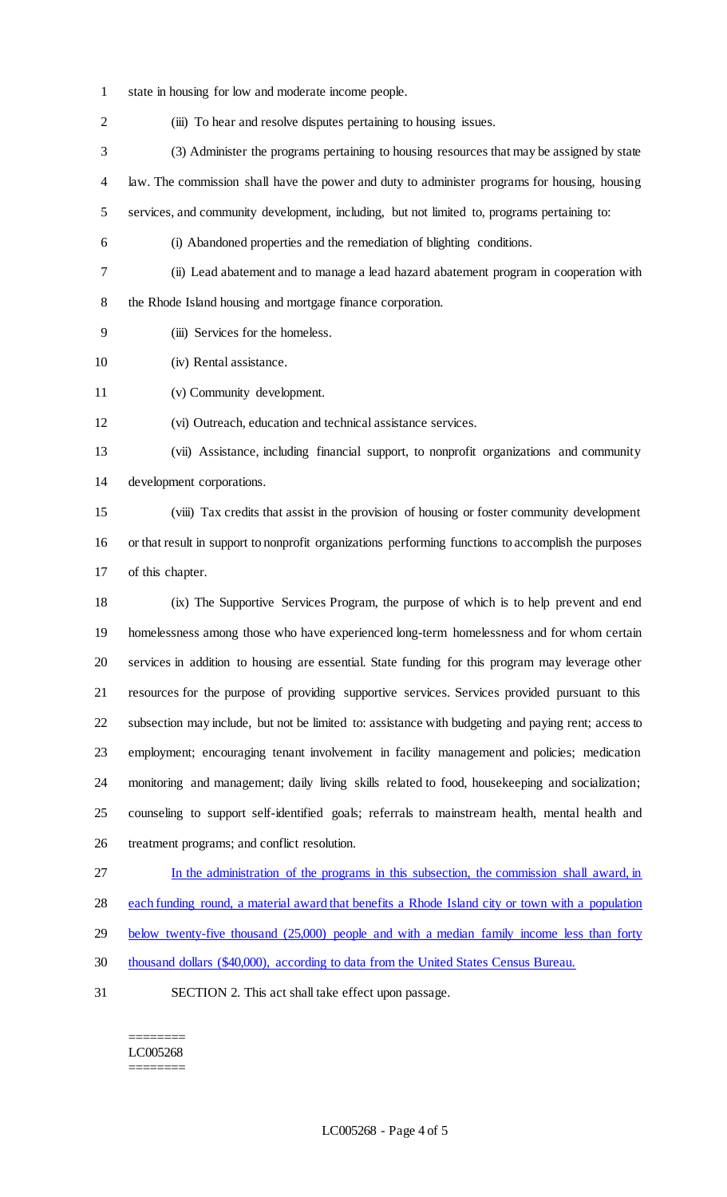- state in housing for low and moderate income people.
- (iii) To hear and resolve disputes pertaining to housing issues.
- (3) Administer the programs pertaining to housing resources that may be assigned by state
- law. The commission shall have the power and duty to administer programs for housing, housing
- services, and community development, including, but not limited to, programs pertaining to:
- 
- (i) Abandoned properties and the remediation of blighting conditions.
- 

(ii) Lead abatement and to manage a lead hazard abatement program in cooperation with

the Rhode Island housing and mortgage finance corporation.

(iii) Services for the homeless.

(iv) Rental assistance.

(v) Community development.

(vi) Outreach, education and technical assistance services.

 (vii) Assistance, including financial support, to nonprofit organizations and community development corporations.

 (viii) Tax credits that assist in the provision of housing or foster community development or that result in support to nonprofit organizations performing functions to accomplish the purposes of this chapter.

 (ix) The Supportive Services Program, the purpose of which is to help prevent and end homelessness among those who have experienced long-term homelessness and for whom certain services in addition to housing are essential. State funding for this program may leverage other resources for the purpose of providing supportive services. Services provided pursuant to this subsection may include, but not be limited to: assistance with budgeting and paying rent; access to employment; encouraging tenant involvement in facility management and policies; medication monitoring and management; daily living skills related to food, housekeeping and socialization; counseling to support self-identified goals; referrals to mainstream health, mental health and treatment programs; and conflict resolution.

- In the administration of the programs in this subsection, the commission shall award, in
- each funding round, a material award that benefits a Rhode Island city or town with a population
- below twenty-five thousand (25,000) people and with a median family income less than forty
- thousand dollars (\$40,000), according to data from the United States Census Bureau.
- SECTION 2. This act shall take effect upon passage.

======== LC005268 ========